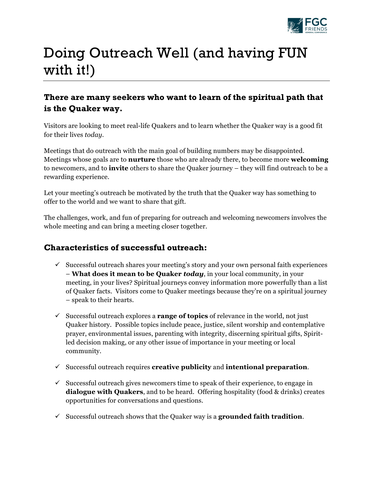

## Doing Outreach Well (and having FUN with it!)

## **There are many seekers who want to learn of the spiritual path that is the Quaker way.**

Visitors are looking to meet real-life Quakers and to learn whether the Quaker way is a good fit for their lives *today*.

Meetings that do outreach with the main goal of building numbers may be disappointed. Meetings whose goals are to **nurture** those who are already there, to become more **welcoming** to newcomers, and to **invite** others to share the Quaker journey – they will find outreach to be a rewarding experience.

Let your meeting's outreach be motivated by the truth that the Quaker way has something to offer to the world and we want to share that gift.

The challenges, work, and fun of preparing for outreach and welcoming newcomers involves the whole meeting and can bring a meeting closer together.

## **Characteristics of successful outreach:**

- $\checkmark$  Successful outreach shares your meeting's story and your own personal faith experiences – **What does it mean to be Quaker** *today*, in your local community, in your meeting, in your lives? Spiritual journeys convey information more powerfully than a list of Quaker facts. Visitors come to Quaker meetings because they're on a spiritual journey – speak to their hearts.
- $\checkmark$  Successful outreach explores a **range of topics** of relevance in the world, not just Quaker history. Possible topics include peace, justice, silent worship and contemplative prayer, environmental issues, parenting with integrity, discerning spiritual gifts, Spiritled decision making, or any other issue of importance in your meeting or local community.
- ! Successful outreach requires **creative publicity** and **intentional preparation**.
- $\checkmark$  Successful outreach gives newcomers time to speak of their experience, to engage in **dialogue with Quakers**, and to be heard. Offering hospitality (food & drinks) creates opportunities for conversations and questions.
- $\checkmark$  Successful outreach shows that the Quaker way is a grounded faith tradition.